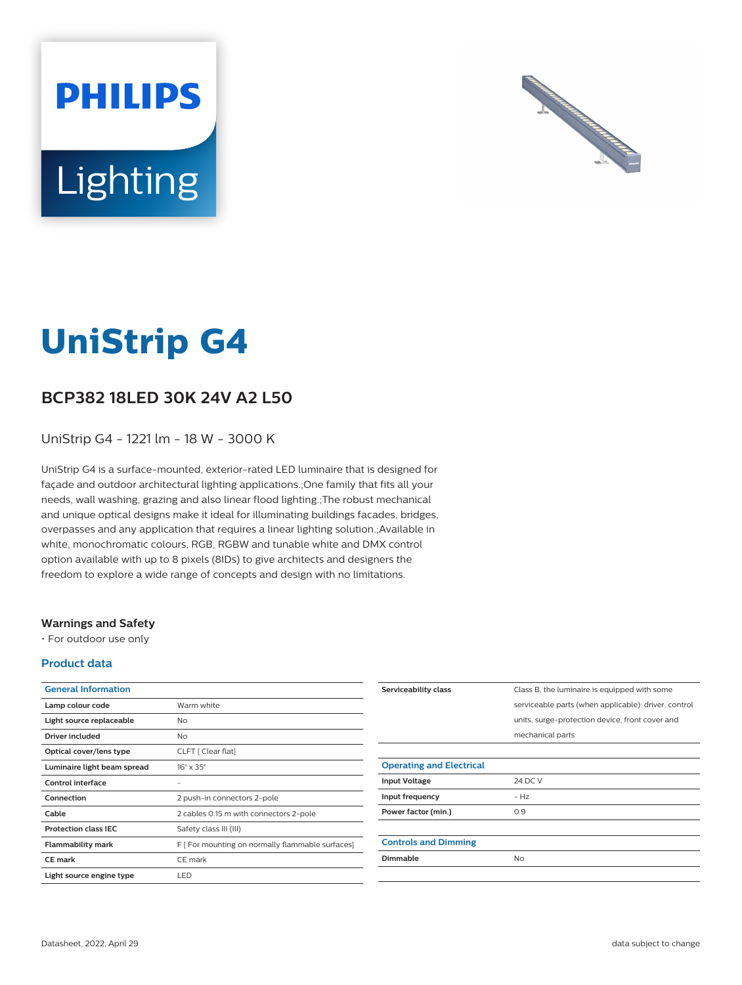



# **UniStrip G4**

## **BCP382 18LED 30K 24V A2 L50**

UniStrip G4 - 1221 lm - 18 W - 3000 K

UniStrip G4 is a surface-mounted, exterior-rated LED luminaire that is designed for façade and outdoor architectural lighting applications.;One family that fits all your needs, wall washing, grazing and also linear flood lighting.;The robust mechanical and unique optical designs make it ideal for illuminating buildings facades, bridges, overpasses and any application that requires a linear lighting solution.;Available in white, monochromatic colours, RGB, RGBW and tunable white and DMX control option available with up to 8 pixels (8IDs) to give architects and designers the freedom to explore a wide range of concepts and design with no limitations.

#### **Warnings and Safety**

• For outdoor use only

#### **Product data**

| <b>General Information</b>  |                                                  |
|-----------------------------|--------------------------------------------------|
| Lamp colour code            | Warm white                                       |
| Light source replaceable    | No                                               |
| Driver included             | N <sub>o</sub>                                   |
| Optical cover/lens type     | CLFT [ Clear flat]                               |
| Luminaire light beam spread | $16^\circ \times 35^\circ$                       |
| Control interface           |                                                  |
| Connection                  | 2 push-in connectors 2-pole                      |
| Cable                       | 2 cables 0.15 m with connectors 2-pole           |
| <b>Protection class IEC</b> | Safety class III (III)                           |
| <b>Flammability mark</b>    | F [ For mounting on normally flammable surfaces] |
| <b>CE</b> mark              | CE mark                                          |
| Light source engine type    | LED                                              |

| Serviceability class            | Class B, the luminaire is equipped with some         |
|---------------------------------|------------------------------------------------------|
|                                 | serviceable parts (when applicable): driver, control |
|                                 | units, surge-protection device, front cover and      |
|                                 | mechanical parts                                     |
|                                 |                                                      |
| <b>Operating and Electrical</b> |                                                      |
| <b>Input Voltage</b>            | 24 DC V                                              |
| Input frequency                 | $- Hz$                                               |
| Power factor (min.)             | 0.9                                                  |
|                                 |                                                      |
| <b>Controls and Dimming</b>     |                                                      |
| Dimmable                        | <b>No</b>                                            |
|                                 |                                                      |